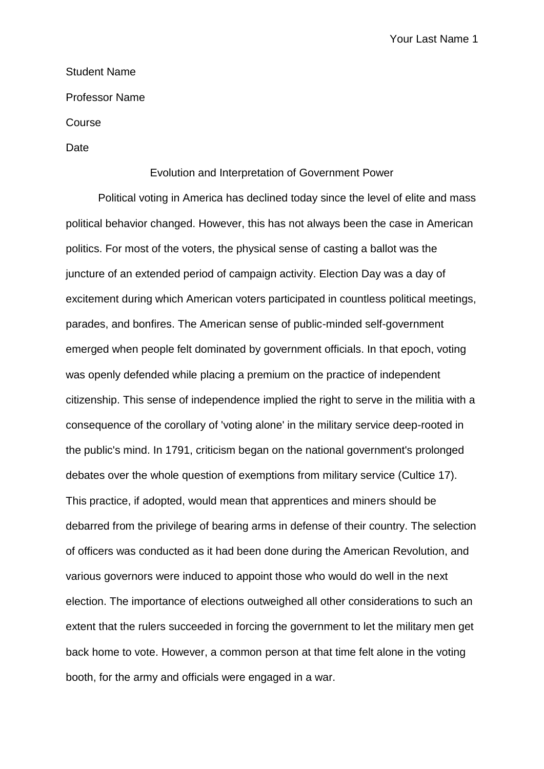Your Last Name 1

## Student Name

Professor Name

Course

Date

## Evolution and Interpretation of Government Power

Political voting in America has declined today since the level of elite and mass political behavior changed. However, this has not always been the case in American politics. For most of the voters, the physical sense of casting a ballot was the juncture of an extended period of campaign activity. Election Day was a day of excitement during which American voters participated in countless political meetings, parades, and bonfires. The American sense of public-minded self-government emerged when people felt dominated by government officials. In that epoch, voting was openly defended while placing a premium on the practice of independent citizenship. This sense of independence implied the right to serve in the militia with a consequence of the corollary of 'voting alone' in the military service deep-rooted in the public's mind. In 1791, criticism began on the national government's prolonged debates over the whole question of exemptions from military service (Cultice 17). This practice, if adopted, would mean that apprentices and miners should be debarred from the privilege of bearing arms in defense of their country. The selection of officers was conducted as it had been done during the American Revolution, and various governors were induced to appoint those who would do well in the next election. The importance of elections outweighed all other considerations to such an extent that the rulers succeeded in forcing the government to let the military men get back home to vote. However, a common person at that time felt alone in the voting booth, for the army and officials were engaged in a war.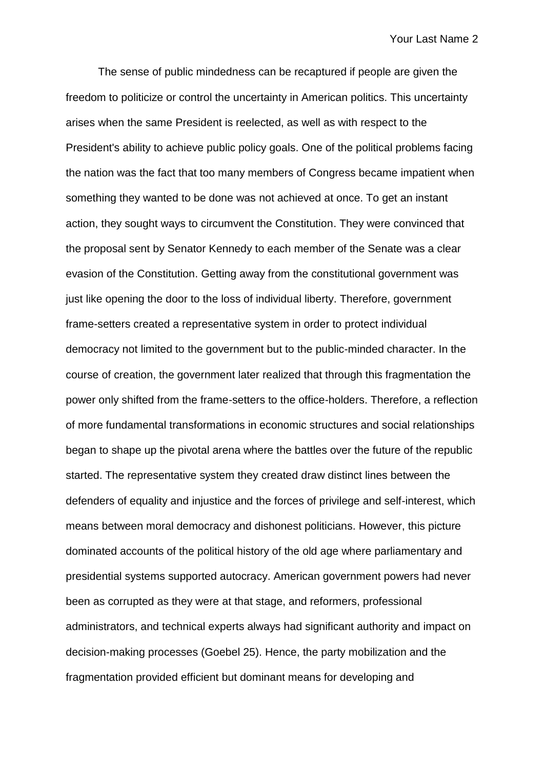The sense of public mindedness can be recaptured if people are given the freedom to politicize or control the uncertainty in American politics. This uncertainty arises when the same President is reelected, as well as with respect to the President's ability to achieve public policy goals. One of the political problems facing the nation was the fact that too many members of Congress became impatient when something they wanted to be done was not achieved at once. To get an instant action, they sought ways to circumvent the Constitution. They were convinced that the proposal sent by Senator Kennedy to each member of the Senate was a clear evasion of the Constitution. Getting away from the constitutional government was just like opening the door to the loss of individual liberty. Therefore, government frame-setters created a representative system in order to protect individual democracy not limited to the government but to the public-minded character. In the course of creation, the government later realized that through this fragmentation the power only shifted from the frame-setters to the office-holders. Therefore, a reflection of more fundamental transformations in economic structures and social relationships began to shape up the pivotal arena where the battles over the future of the republic started. The representative system they created draw distinct lines between the defenders of equality and injustice and the forces of privilege and self-interest, which means between moral democracy and dishonest politicians. However, this picture dominated accounts of the political history of the old age where parliamentary and presidential systems supported autocracy. American government powers had never been as corrupted as they were at that stage, and reformers, professional administrators, and technical experts always had significant authority and impact on decision-making processes (Goebel 25). Hence, the party mobilization and the fragmentation provided efficient but dominant means for developing and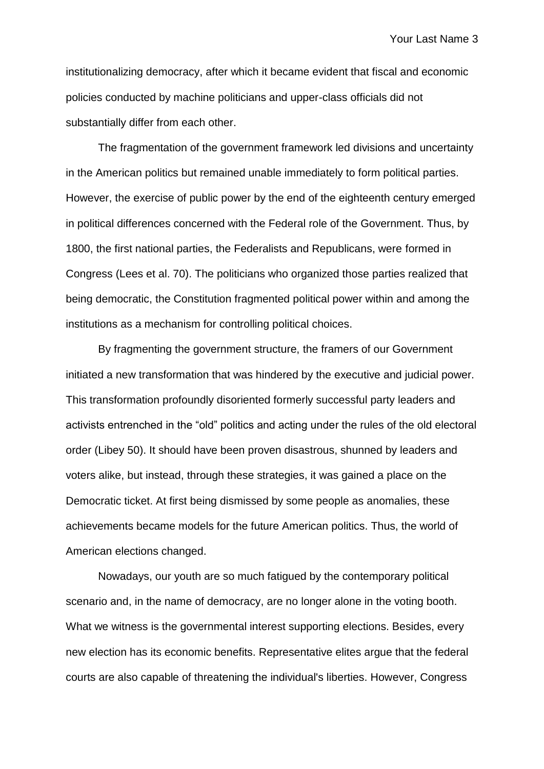institutionalizing democracy, after which it became evident that fiscal and economic policies conducted by machine politicians and upper-class officials did not substantially differ from each other.

The fragmentation of the government framework led divisions and uncertainty in the American politics but remained unable immediately to form political parties. However, the exercise of public power by the end of the eighteenth century emerged in political differences concerned with the Federal role of the Government. Thus, by 1800, the first national parties, the Federalists and Republicans, were formed in Congress (Lees et al. 70). The politicians who organized those parties realized that being democratic, the Constitution fragmented political power within and among the institutions as a mechanism for controlling political choices.

By fragmenting the government structure, the framers of our Government initiated a new transformation that was hindered by the executive and judicial power. This transformation profoundly disoriented formerly successful party leaders and activists entrenched in the "old" politics and acting under the rules of the old electoral order (Libey 50). It should have been proven disastrous, shunned by leaders and voters alike, but instead, through these strategies, it was gained a place on the Democratic ticket. At first being dismissed by some people as anomalies, these achievements became models for the future American politics. Thus, the world of American elections changed.

Nowadays, our youth are so much fatigued by the contemporary political scenario and, in the name of democracy, are no longer alone in the voting booth. What we witness is the governmental interest supporting elections. Besides, every new election has its economic benefits. Representative elites argue that the federal courts are also capable of threatening the individual's liberties. However, Congress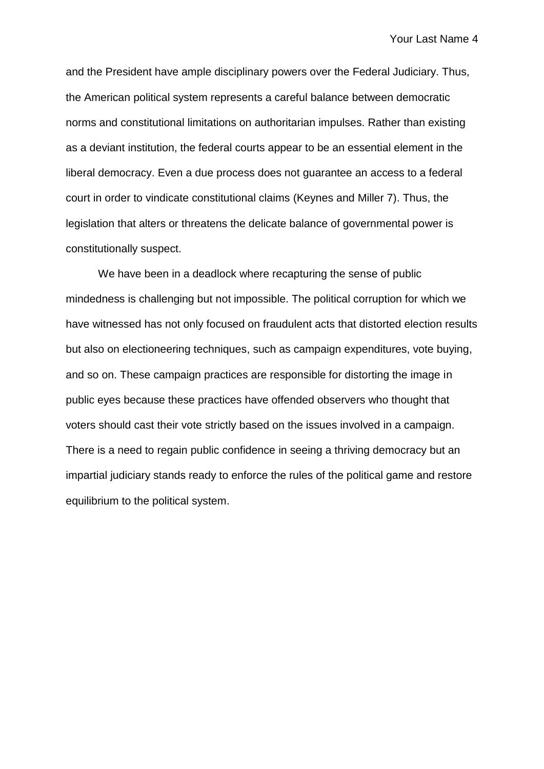and the President have ample disciplinary powers over the Federal Judiciary. Thus, the American political system represents a careful balance between democratic norms and constitutional limitations on authoritarian impulses. Rather than existing as a deviant institution, the federal courts appear to be an essential element in the liberal democracy. Even a due process does not guarantee an access to a federal court in order to vindicate constitutional claims (Keynes and Miller 7). Thus, the legislation that alters or threatens the delicate balance of governmental power is constitutionally suspect.

We have been in a deadlock where recapturing the sense of public mindedness is challenging but not impossible. The political corruption for which we have witnessed has not only focused on fraudulent acts that distorted election results but also on electioneering techniques, such as campaign expenditures, vote buying, and so on. These campaign practices are responsible for distorting the image in public eyes because these practices have offended observers who thought that voters should cast their vote strictly based on the issues involved in a campaign. There is a need to regain public confidence in seeing a thriving democracy but an impartial judiciary stands ready to enforce the rules of the political game and restore equilibrium to the political system.